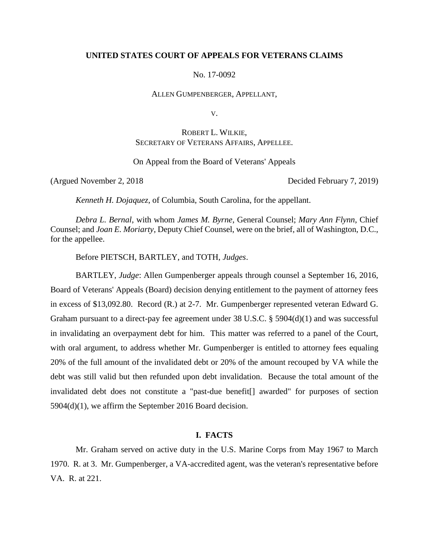## **UNITED STATES COURT OF APPEALS FOR VETERANS CLAIMS**

No. 17-0092

ALLEN GUMPENBERGER, APPELLANT,

V.

## ROBERT L. WILKIE, SECRETARY OF VETERANS AFFAIRS, APPELLEE.

On Appeal from the Board of Veterans' Appeals

(Argued November 2, 2018 Decided February 7, 2019)

*Kenneth H. Dojaquez*, of Columbia, South Carolina, for the appellant.

*Debra L. Bernal*, with whom *James M. Byrne*, General Counsel; *Mary Ann Flynn*, Chief Counsel; and *Joan E. Moriarty*, Deputy Chief Counsel, were on the brief, all of Washington, D.C., for the appellee.

Before PIETSCH, BARTLEY, and TOTH, *Judges*.

BARTLEY, *Judge*: Allen Gumpenberger appeals through counsel a September 16, 2016, Board of Veterans' Appeals (Board) decision denying entitlement to the payment of attorney fees in excess of \$13,092.80. Record (R.) at 2-7. Mr. Gumpenberger represented veteran Edward G. Graham pursuant to a direct-pay fee agreement under 38 U.S.C. § 5904(d)(1) and was successful in invalidating an overpayment debt for him. This matter was referred to a panel of the Court, with oral argument, to address whether Mr. Gumpenberger is entitled to attorney fees equaling 20% of the full amount of the invalidated debt or 20% of the amount recouped by VA while the debt was still valid but then refunded upon debt invalidation. Because the total amount of the invalidated debt does not constitute a "past-due benefit[] awarded" for purposes of section 5904(d)(1), we affirm the September 2016 Board decision.

### **I. FACTS**

Mr. Graham served on active duty in the U.S. Marine Corps from May 1967 to March 1970. R. at 3. Mr. Gumpenberger, a VA-accredited agent, was the veteran's representative before VA. R. at 221.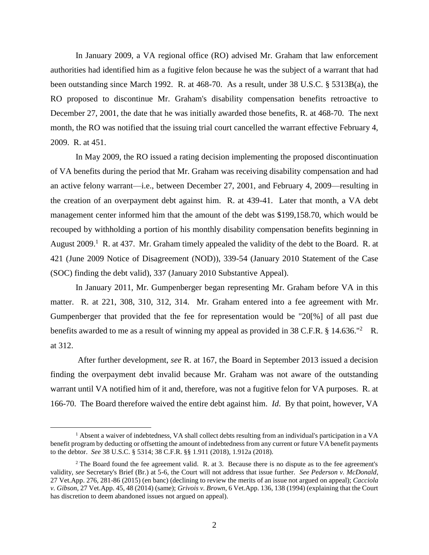In January 2009, a VA regional office (RO) advised Mr. Graham that law enforcement authorities had identified him as a fugitive felon because he was the subject of a warrant that had been outstanding since March 1992. R. at 468-70. As a result, under 38 U.S.C. § 5313B(a), the RO proposed to discontinue Mr. Graham's disability compensation benefits retroactive to December 27, 2001, the date that he was initially awarded those benefits, R. at 468-70. The next month, the RO was notified that the issuing trial court cancelled the warrant effective February 4, 2009. R. at 451.

In May 2009, the RO issued a rating decision implementing the proposed discontinuation of VA benefits during the period that Mr. Graham was receiving disability compensation and had an active felony warrant—i.e., between December 27, 2001, and February 4, 2009—resulting in the creation of an overpayment debt against him. R. at 439-41. Later that month, a VA debt management center informed him that the amount of the debt was \$199,158.70, which would be recouped by withholding a portion of his monthly disability compensation benefits beginning in August  $2009$ <sup>1</sup> R. at 437. Mr. Graham timely appealed the validity of the debt to the Board. R. at 421 (June 2009 Notice of Disagreement (NOD)), 339-54 (January 2010 Statement of the Case (SOC) finding the debt valid), 337 (January 2010 Substantive Appeal).

In January 2011, Mr. Gumpenberger began representing Mr. Graham before VA in this matter. R. at 221, 308, 310, 312, 314. Mr. Graham entered into a fee agreement with Mr. Gumpenberger that provided that the fee for representation would be "20[%] of all past due benefits awarded to me as a result of winning my appeal as provided in 38 C.F.R.  $\S$  14.636.<sup>"2</sup> R. at 312.

After further development, *see* R. at 167, the Board in September 2013 issued a decision finding the overpayment debt invalid because Mr. Graham was not aware of the outstanding warrant until VA notified him of it and, therefore, was not a fugitive felon for VA purposes. R. at 166-70. The Board therefore waived the entire debt against him. *Id*. By that point, however, VA

<sup>&</sup>lt;sup>1</sup> Absent a waiver of indebtedness, VA shall collect debts resulting from an individual's participation in a VA benefit program by deducting or offsetting the amount of indebtedness from any current or future VA benefit payments to the debtor. *See* 38 U.S.C. § 5314; 38 C.F.R. §§ 1.911 (2018), 1.912a (2018).

<sup>&</sup>lt;sup>2</sup> The Board found the fee agreement valid. R. at 3. Because there is no dispute as to the fee agreement's validity, *see* Secretary's Brief (Br.) at 5-6, the Court will not address that issue further. *See Pederson v. McDonald*, 27 Vet.App. 276, 281-86 (2015) (en banc) (declining to review the merits of an issue not argued on appeal); *Cacciola v. Gibson*, 27 Vet.App. 45, 48 (2014) (same); *Grivois v. Brown*, 6 Vet.App. 136, 138 (1994) (explaining that the Court has discretion to deem abandoned issues not argued on appeal).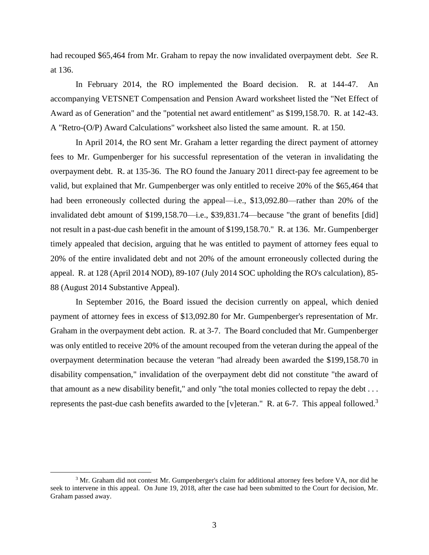had recouped \$65,464 from Mr. Graham to repay the now invalidated overpayment debt. *See* R. at 136.

In February 2014, the RO implemented the Board decision. R. at 144-47. An accompanying VETSNET Compensation and Pension Award worksheet listed the "Net Effect of Award as of Generation" and the "potential net award entitlement" as \$199,158.70. R. at 142-43. A "Retro-(O/P) Award Calculations" worksheet also listed the same amount. R. at 150.

In April 2014, the RO sent Mr. Graham a letter regarding the direct payment of attorney fees to Mr. Gumpenberger for his successful representation of the veteran in invalidating the overpayment debt. R. at 135-36. The RO found the January 2011 direct-pay fee agreement to be valid, but explained that Mr. Gumpenberger was only entitled to receive 20% of the \$65,464 that had been erroneously collected during the appeal—i.e., \$13,092.80—rather than 20% of the invalidated debt amount of \$199,158.70—i.e., \$39,831.74—because "the grant of benefits [did] not result in a past-due cash benefit in the amount of \$199,158.70." R. at 136. Mr. Gumpenberger timely appealed that decision, arguing that he was entitled to payment of attorney fees equal to 20% of the entire invalidated debt and not 20% of the amount erroneously collected during the appeal. R. at 128 (April 2014 NOD), 89-107 (July 2014 SOC upholding the RO's calculation), 85- 88 (August 2014 Substantive Appeal).

In September 2016, the Board issued the decision currently on appeal, which denied payment of attorney fees in excess of \$13,092.80 for Mr. Gumpenberger's representation of Mr. Graham in the overpayment debt action. R. at 3-7. The Board concluded that Mr. Gumpenberger was only entitled to receive 20% of the amount recouped from the veteran during the appeal of the overpayment determination because the veteran "had already been awarded the \$199,158.70 in disability compensation," invalidation of the overpayment debt did not constitute "the award of that amount as a new disability benefit," and only "the total monies collected to repay the debt . . . represents the past-due cash benefits awarded to the [v]eteran." R. at 6-7. This appeal followed.<sup>3</sup>

<sup>&</sup>lt;sup>3</sup> Mr. Graham did not contest Mr. Gumpenberger's claim for additional attorney fees before VA, nor did he seek to intervene in this appeal. On June 19, 2018, after the case had been submitted to the Court for decision, Mr. Graham passed away.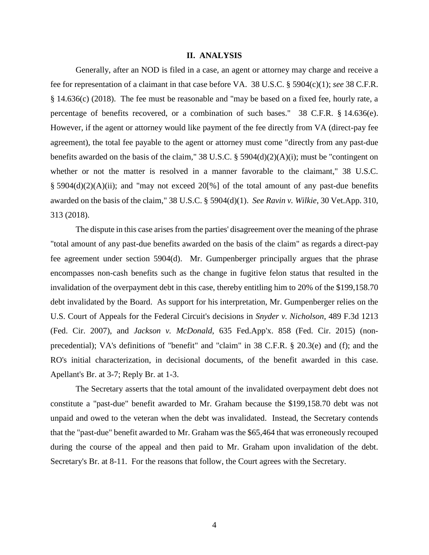#### **II. ANALYSIS**

Generally, after an NOD is filed in a case, an agent or attorney may charge and receive a fee for representation of a claimant in that case before VA. 38 U.S.C. § 5904(c)(1); *see* 38 C.F.R. § 14.636(c) (2018). The fee must be reasonable and "may be based on a fixed fee, hourly rate, a percentage of benefits recovered, or a combination of such bases." 38 C.F.R. § 14.636(e). However, if the agent or attorney would like payment of the fee directly from VA (direct-pay fee agreement), the total fee payable to the agent or attorney must come "directly from any past-due benefits awarded on the basis of the claim," 38 U.S.C. § 5904(d)(2)(A)(i); must be "contingent on whether or not the matter is resolved in a manner favorable to the claimant," 38 U.S.C. § 5904(d)(2)(A)(ii); and "may not exceed 20[%] of the total amount of any past-due benefits awarded on the basis of the claim," 38 U.S.C. § 5904(d)(1). *See Ravin v. Wilkie*, 30 Vet.App. 310, 313 (2018).

The dispute in this case arises from the parties' disagreement over the meaning of the phrase "total amount of any past-due benefits awarded on the basis of the claim" as regards a direct-pay fee agreement under section 5904(d). Mr. Gumpenberger principally argues that the phrase encompasses non-cash benefits such as the change in fugitive felon status that resulted in the invalidation of the overpayment debt in this case, thereby entitling him to 20% of the \$199,158.70 debt invalidated by the Board. As support for his interpretation, Mr. Gumpenberger relies on the U.S. Court of Appeals for the Federal Circuit's decisions in *Snyder v. Nicholson*, 489 F.3d 1213 (Fed. Cir. 2007), and *Jackson v. McDonald*, 635 Fed.App'x. 858 (Fed. Cir. 2015) (nonprecedential); VA's definitions of "benefit" and "claim" in 38 C.F.R. § 20.3(e) and (f); and the RO's initial characterization, in decisional documents, of the benefit awarded in this case. Apellant's Br. at 3-7; Reply Br. at 1-3.

The Secretary asserts that the total amount of the invalidated overpayment debt does not constitute a "past-due" benefit awarded to Mr. Graham because the \$199,158.70 debt was not unpaid and owed to the veteran when the debt was invalidated. Instead, the Secretary contends that the "past-due" benefit awarded to Mr. Graham was the \$65,464 that was erroneously recouped during the course of the appeal and then paid to Mr. Graham upon invalidation of the debt. Secretary's Br. at 8-11. For the reasons that follow, the Court agrees with the Secretary.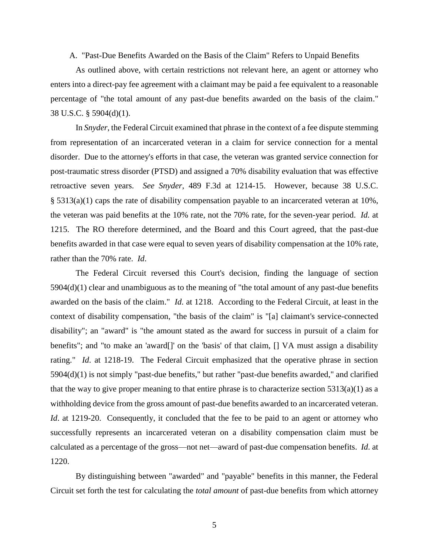A. "Past-Due Benefits Awarded on the Basis of the Claim" Refers to Unpaid Benefits

As outlined above, with certain restrictions not relevant here, an agent or attorney who enters into a direct-pay fee agreement with a claimant may be paid a fee equivalent to a reasonable percentage of "the total amount of any past-due benefits awarded on the basis of the claim." 38 U.S.C. § 5904(d)(1).

In *Snyder*, the Federal Circuit examined that phrase in the context of a fee dispute stemming from representation of an incarcerated veteran in a claim for service connection for a mental disorder. Due to the attorney's efforts in that case, the veteran was granted service connection for post-traumatic stress disorder (PTSD) and assigned a 70% disability evaluation that was effective retroactive seven years. *See Snyder*, 489 F.3d at 1214-15. However, because 38 U.S.C. § 5313(a)(1) caps the rate of disability compensation payable to an incarcerated veteran at 10%, the veteran was paid benefits at the 10% rate, not the 70% rate, for the seven-year period. *Id.* at 1215. The RO therefore determined, and the Board and this Court agreed, that the past-due benefits awarded in that case were equal to seven years of disability compensation at the 10% rate, rather than the 70% rate. *Id*.

The Federal Circuit reversed this Court's decision, finding the language of section 5904(d)(1) clear and unambiguous as to the meaning of "the total amount of any past-due benefits awarded on the basis of the claim." *Id*. at 1218. According to the Federal Circuit, at least in the context of disability compensation, "the basis of the claim" is "[a] claimant's service-connected disability"; an "award" is "the amount stated as the award for success in pursuit of a claim for benefits"; and "to make an 'award[]' on the 'basis' of that claim, [] VA must assign a disability rating." *Id*. at 1218-19. The Federal Circuit emphasized that the operative phrase in section 5904(d)(1) is not simply "past-due benefits," but rather "past-due benefits awarded," and clarified that the way to give proper meaning to that entire phrase is to characterize section  $5313(a)(1)$  as a withholding device from the gross amount of past-due benefits awarded to an incarcerated veteran. *Id.* at 1219-20. Consequently, it concluded that the fee to be paid to an agent or attorney who successfully represents an incarcerated veteran on a disability compensation claim must be calculated as a percentage of the gross—not net—award of past-due compensation benefits. *Id*. at 1220.

By distinguishing between "awarded" and "payable" benefits in this manner, the Federal Circuit set forth the test for calculating the *total amount* of past-due benefits from which attorney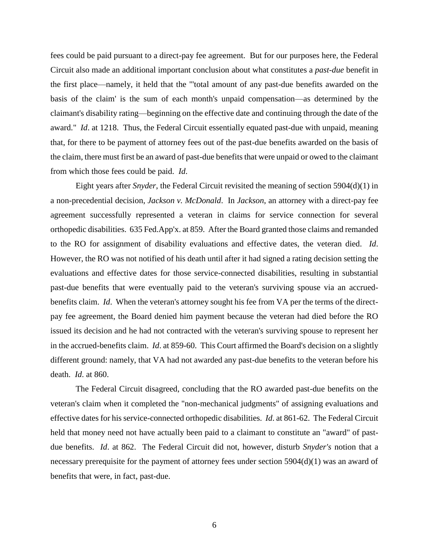fees could be paid pursuant to a direct-pay fee agreement. But for our purposes here, the Federal Circuit also made an additional important conclusion about what constitutes a *past-due* benefit in the first place—namely, it held that the "'total amount of any past-due benefits awarded on the basis of the claim' is the sum of each month's unpaid compensation—as determined by the claimant's disability rating—beginning on the effective date and continuing through the date of the award." *Id*. at 1218. Thus, the Federal Circuit essentially equated past-due with unpaid, meaning that, for there to be payment of attorney fees out of the past-due benefits awarded on the basis of the claim, there must first be an award of past-due benefits that were unpaid or owed to the claimant from which those fees could be paid. *Id*.

Eight years after *Snyder*, the Federal Circuit revisited the meaning of section 5904(d)(1) in a non-precedential decision, *Jackson v. McDonald*. In *Jackson*, an attorney with a direct-pay fee agreement successfully represented a veteran in claims for service connection for several orthopedic disabilities. 635 Fed.App'x. at 859. After the Board granted those claims and remanded to the RO for assignment of disability evaluations and effective dates, the veteran died. *Id*. However, the RO was not notified of his death until after it had signed a rating decision setting the evaluations and effective dates for those service-connected disabilities, resulting in substantial past-due benefits that were eventually paid to the veteran's surviving spouse via an accruedbenefits claim. *Id*. When the veteran's attorney sought his fee from VA per the terms of the directpay fee agreement, the Board denied him payment because the veteran had died before the RO issued its decision and he had not contracted with the veteran's surviving spouse to represent her in the accrued-benefits claim. *Id*. at 859-60. This Court affirmed the Board's decision on a slightly different ground: namely, that VA had not awarded any past-due benefits to the veteran before his death. *Id*. at 860.

The Federal Circuit disagreed, concluding that the RO awarded past-due benefits on the veteran's claim when it completed the "non-mechanical judgments" of assigning evaluations and effective dates for his service-connected orthopedic disabilities. *Id*. at 861-62. The Federal Circuit held that money need not have actually been paid to a claimant to constitute an "award" of pastdue benefits. *Id*. at 862. The Federal Circuit did not, however, disturb *Snyder's* notion that a necessary prerequisite for the payment of attorney fees under section 5904(d)(1) was an award of benefits that were, in fact, past-due.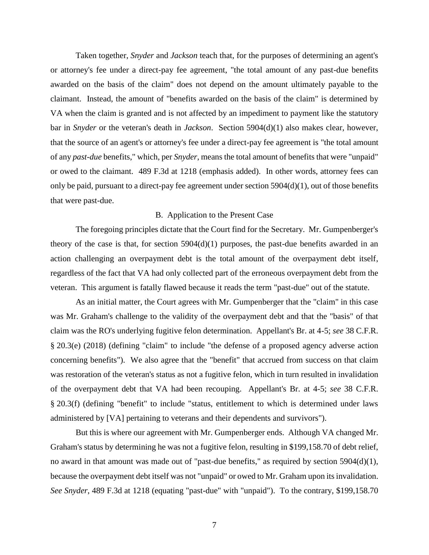Taken together, *Snyder* and *Jackson* teach that, for the purposes of determining an agent's or attorney's fee under a direct-pay fee agreement, "the total amount of any past-due benefits awarded on the basis of the claim" does not depend on the amount ultimately payable to the claimant. Instead, the amount of "benefits awarded on the basis of the claim" is determined by VA when the claim is granted and is not affected by an impediment to payment like the statutory bar in *Snyder* or the veteran's death in *Jackson*. Section 5904(d)(1) also makes clear, however, that the source of an agent's or attorney's fee under a direct-pay fee agreement is "the total amount of any *past-due* benefits," which, per *Snyder*, means the total amount of benefits that were "unpaid" or owed to the claimant. 489 F.3d at 1218 (emphasis added). In other words, attorney fees can only be paid, pursuant to a direct-pay fee agreement under section 5904(d)(1), out of those benefits that were past-due.

### B. Application to the Present Case

The foregoing principles dictate that the Court find for the Secretary. Mr. Gumpenberger's theory of the case is that, for section  $5904(d)(1)$  purposes, the past-due benefits awarded in an action challenging an overpayment debt is the total amount of the overpayment debt itself, regardless of the fact that VA had only collected part of the erroneous overpayment debt from the veteran. This argument is fatally flawed because it reads the term "past-due" out of the statute.

As an initial matter, the Court agrees with Mr. Gumpenberger that the "claim" in this case was Mr. Graham's challenge to the validity of the overpayment debt and that the "basis" of that claim was the RO's underlying fugitive felon determination. Appellant's Br. at 4-5; *see* 38 C.F.R. § 20.3(e) (2018) (defining "claim" to include "the defense of a proposed agency adverse action concerning benefits"). We also agree that the "benefit" that accrued from success on that claim was restoration of the veteran's status as not a fugitive felon, which in turn resulted in invalidation of the overpayment debt that VA had been recouping. Appellant's Br. at 4-5; *see* 38 C.F.R. § 20.3(f) (defining "benefit" to include "status, entitlement to which is determined under laws administered by [VA] pertaining to veterans and their dependents and survivors").

But this is where our agreement with Mr. Gumpenberger ends. Although VA changed Mr. Graham's status by determining he was not a fugitive felon, resulting in \$199,158.70 of debt relief, no award in that amount was made out of "past-due benefits," as required by section 5904(d)(1), because the overpayment debt itself was not "unpaid" or owed to Mr. Graham upon its invalidation. *See Snyder*, 489 F.3d at 1218 (equating "past-due" with "unpaid"). To the contrary, \$199,158.70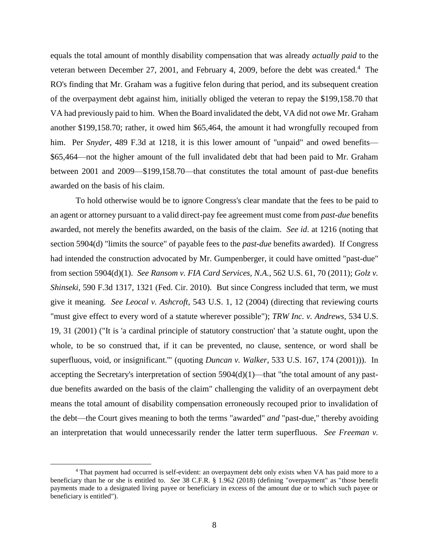equals the total amount of monthly disability compensation that was already *actually paid* to the veteran between December 27, 2001, and February 4, 2009, before the debt was created.<sup>4</sup> The RO's finding that Mr. Graham was a fugitive felon during that period, and its subsequent creation of the overpayment debt against him, initially obliged the veteran to repay the \$199,158.70 that VA had previously paid to him. When the Board invalidated the debt, VA did not owe Mr. Graham another \$199,158.70; rather, it owed him \$65,464, the amount it had wrongfully recouped from him. Per *Snyder*, 489 F.3d at 1218, it is this lower amount of "unpaid" and owed benefits— \$65,464—not the higher amount of the full invalidated debt that had been paid to Mr. Graham between 2001 and 2009—\$199,158.70—that constitutes the total amount of past-due benefits awarded on the basis of his claim.

To hold otherwise would be to ignore Congress's clear mandate that the fees to be paid to an agent or attorney pursuant to a valid direct-pay fee agreement must come from *past-due* benefits awarded, not merely the benefits awarded, on the basis of the claim. *See id*. at 1216 (noting that section 5904(d) "limits the source" of payable fees to the *past-due* benefits awarded). If Congress had intended the construction advocated by Mr. Gumpenberger, it could have omitted "past-due" from section 5904(d)(1). *See Ransom v. FIA Card Services, N.A.*, 562 U.S. 61, 70 (2011); *Golz v. Shinseki*, 590 F.3d 1317, 1321 (Fed. Cir. 2010). But since Congress included that term, we must give it meaning. *See Leocal v. Ashcroft*, 543 U.S. 1, 12 (2004) (directing that reviewing courts "must give effect to every word of a statute wherever possible"); *TRW Inc. v. Andrews*, 534 U.S. 19, 31 (2001) ("It is 'a cardinal principle of statutory construction' that 'a statute ought, upon the whole, to be so construed that, if it can be prevented, no clause, sentence, or word shall be superfluous, void, or insignificant.'" (quoting *Duncan v. Walker*, 533 U.S. 167, 174 (2001))). In accepting the Secretary's interpretation of section 5904(d)(1)—that "the total amount of any pastdue benefits awarded on the basis of the claim" challenging the validity of an overpayment debt means the total amount of disability compensation erroneously recouped prior to invalidation of the debt—the Court gives meaning to both the terms "awarded" *and* "past-due," thereby avoiding an interpretation that would unnecessarily render the latter term superfluous. *See Freeman v.* 

<sup>4</sup> That payment had occurred is self-evident: an overpayment debt only exists when VA has paid more to a beneficiary than he or she is entitled to. *See* 38 C.F.R. § 1.962 (2018) (defining "overpayment" as "those benefit payments made to a designated living payee or beneficiary in excess of the amount due or to which such payee or beneficiary is entitled").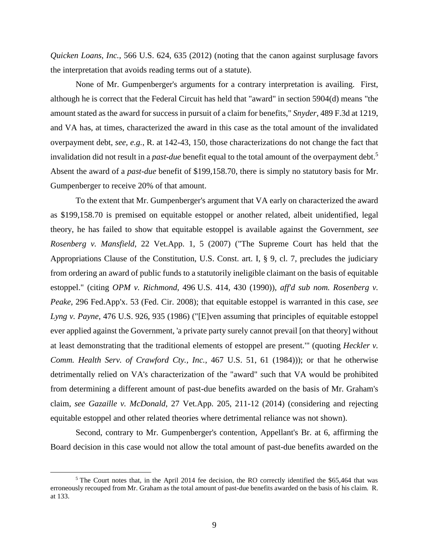*Quicken Loans, Inc.*, 566 U.S. 624, 635 (2012) (noting that the canon against surplusage favors the interpretation that avoids reading terms out of a statute).

None of Mr. Gumpenberger's arguments for a contrary interpretation is availing. First, although he is correct that the Federal Circuit has held that "award" in section 5904(d) means "the amount stated as the award for success in pursuit of a claim for benefits," *Snyder*, 489 F.3d at 1219, and VA has, at times, characterized the award in this case as the total amount of the invalidated overpayment debt, *see, e.g.*, R. at 142-43, 150, those characterizations do not change the fact that invalidation did not result in a *past-due* benefit equal to the total amount of the overpayment debt. 5 Absent the award of a *past-due* benefit of \$199,158.70, there is simply no statutory basis for Mr. Gumpenberger to receive 20% of that amount.

To the extent that Mr. Gumpenberger's argument that VA early on characterized the award as \$199,158.70 is premised on equitable estoppel or another related, albeit unidentified, legal theory, he has failed to show that equitable estoppel is available against the Government, *see Rosenberg v. Mansfield*, 22 Vet.App. 1, 5 (2007) ("The Supreme Court has held that the Appropriations Clause of the Constitution, U.S. Const. art. I, § 9, cl. 7, precludes the judiciary from ordering an award of public funds to a statutorily ineligible claimant on the basis of equitable estoppel." (citing *OPM v. Richmond*, 496 U.S. 414, 430 (1990)), *aff'd sub nom. Rosenberg v. Peake*, 296 Fed.App'x. 53 (Fed. Cir. 2008); that equitable estoppel is warranted in this case, *see Lyng v. Payne*, 476 U.S. 926, 935 (1986) ("[E]ven assuming that principles of equitable estoppel ever applied against the Government, 'a private party surely cannot prevail [on that theory] without at least demonstrating that the traditional elements of estoppel are present.'" (quoting *Heckler v. Comm. Health Serv. of Crawford Cty., Inc.*, 467 U.S. 51, 61 (1984))); or that he otherwise detrimentally relied on VA's characterization of the "award" such that VA would be prohibited from determining a different amount of past-due benefits awarded on the basis of Mr. Graham's claim, *see Gazaille v. McDonald*, 27 Vet.App. 205, 211-12 (2014) (considering and rejecting equitable estoppel and other related theories where detrimental reliance was not shown).

Second, contrary to Mr. Gumpenberger's contention, Appellant's Br. at 6, affirming the Board decision in this case would not allow the total amount of past-due benefits awarded on the

<sup>&</sup>lt;sup>5</sup> The Court notes that, in the April 2014 fee decision, the RO correctly identified the \$65,464 that was erroneously recouped from Mr. Graham as the total amount of past-due benefits awarded on the basis of his claim. R. at 133.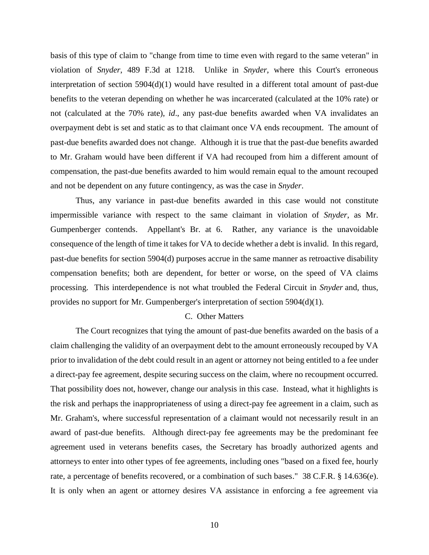basis of this type of claim to "change from time to time even with regard to the same veteran" in violation of *Snyder*, 489 F.3d at 1218. Unlike in *Snyder*, where this Court's erroneous interpretation of section 5904(d)(1) would have resulted in a different total amount of past-due benefits to the veteran depending on whether he was incarcerated (calculated at the 10% rate) or not (calculated at the 70% rate), *id*., any past-due benefits awarded when VA invalidates an overpayment debt is set and static as to that claimant once VA ends recoupment. The amount of past-due benefits awarded does not change. Although it is true that the past-due benefits awarded to Mr. Graham would have been different if VA had recouped from him a different amount of compensation, the past-due benefits awarded to him would remain equal to the amount recouped and not be dependent on any future contingency, as was the case in *Snyder*.

Thus, any variance in past-due benefits awarded in this case would not constitute impermissible variance with respect to the same claimant in violation of *Snyder*, as Mr. Gumpenberger contends. Appellant's Br. at 6. Rather, any variance is the unavoidable consequence of the length of time it takes for VA to decide whether a debt is invalid. In this regard, past-due benefits for section 5904(d) purposes accrue in the same manner as retroactive disability compensation benefits; both are dependent, for better or worse, on the speed of VA claims processing. This interdependence is not what troubled the Federal Circuit in *Snyder* and, thus, provides no support for Mr. Gumpenberger's interpretation of section 5904(d)(1).

## C. Other Matters

The Court recognizes that tying the amount of past-due benefits awarded on the basis of a claim challenging the validity of an overpayment debt to the amount erroneously recouped by VA prior to invalidation of the debt could result in an agent or attorney not being entitled to a fee under a direct-pay fee agreement, despite securing success on the claim, where no recoupment occurred. That possibility does not, however, change our analysis in this case. Instead, what it highlights is the risk and perhaps the inappropriateness of using a direct-pay fee agreement in a claim, such as Mr. Graham's, where successful representation of a claimant would not necessarily result in an award of past-due benefits. Although direct-pay fee agreements may be the predominant fee agreement used in veterans benefits cases, the Secretary has broadly authorized agents and attorneys to enter into other types of fee agreements, including ones "based on a fixed fee, hourly rate, a percentage of benefits recovered, or a combination of such bases." 38 C.F.R. § 14.636(e). It is only when an agent or attorney desires VA assistance in enforcing a fee agreement via